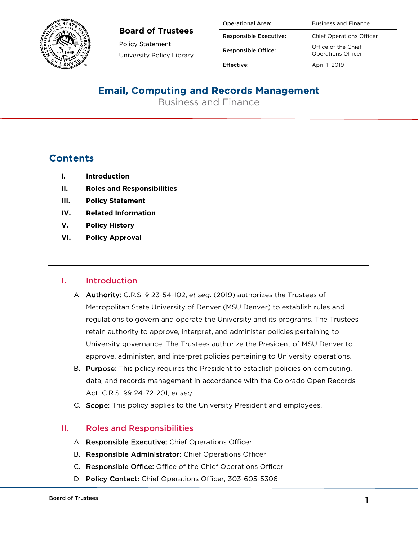#### **Board of Trustees**



Policy Statement University Policy Library

| <b>Operational Area:</b>      | <b>Business and Finance</b>                      |
|-------------------------------|--------------------------------------------------|
| <b>Responsible Executive:</b> | <b>Chief Operations Officer</b>                  |
| <b>Responsible Office:</b>    | Office of the Chief<br><b>Operations Officer</b> |
| Effective:                    | April 1, 2019                                    |

## Email, Computing and Records Management

Business and Finance

### **Contents**

- **I. Introduction**
- **II. Roles and Responsibilities**
- **III. Policy Statement**
- **IV. Related Information**
- **V. Policy History**
- **VI. Policy Approval**

#### I. Introduction

- A. Authority: C.R.S. § 23-54-102, *et seq*. (2019) authorizes the Trustees of Metropolitan State University of Denver (MSU Denver) to establish rules and regulations to govern and operate the University and its programs. The Trustees retain authority to approve, interpret, and administer policies pertaining to University governance. The Trustees authorize the President of MSU Denver to approve, administer, and interpret policies pertaining to University operations.
- B. Purpose: This policy requires the President to establish policies on computing, data, and records management in accordance with the Colorado Open Records Act, C.R.S. §§ 24-72-201, *et seq*.
- C. Scope: This policy applies to the University President and employees.

#### II. Roles and Responsibilities

- A. Responsible Executive: Chief Operations Officer
- B. Responsible Administrator: Chief Operations Officer
- C. Responsible Office: Office of the Chief Operations Officer
- D. Policy Contact: Chief Operations Officer, 303-605-5306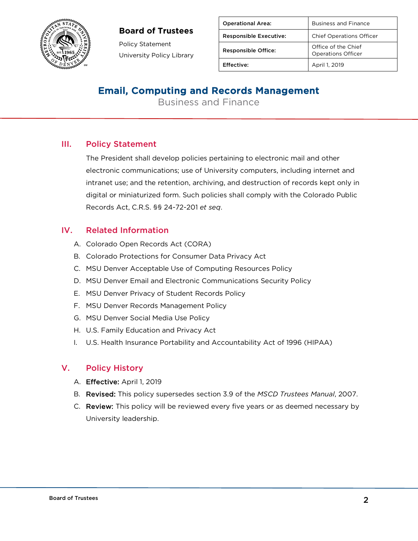#### **Board of Trustees**



Policy Statement University Policy Library

| <b>Operational Area:</b>      | <b>Business and Finance</b>                      |
|-------------------------------|--------------------------------------------------|
| <b>Responsible Executive:</b> | <b>Chief Operations Officer</b>                  |
| <b>Responsible Office:</b>    | Office of the Chief<br><b>Operations Officer</b> |
| Effective:                    | April 1, 2019                                    |

## Email, Computing and Records Management

Business and Finance

#### III. Policy Statement

The President shall develop policies pertaining to electronic mail and other electronic communications; use of University computers, including internet and intranet use; and the retention, archiving, and destruction of records kept only in digital or miniaturized form. Such policies shall comply with the Colorado Public Records Act, C.R.S. §§ 24-72-201 *et seq*.

#### IV. Related Information

- A. Colorado Open Records Act (CORA)
- B. Colorado Protections for Consumer Data Privacy Act
- C. MSU Denver Acceptable Use of Computing Resources Policy
- D. MSU Denver Email and Electronic Communications Security Policy
- E. MSU Denver Privacy of Student Records Policy
- F. MSU Denver Records Management Policy
- G. MSU Denver Social Media Use Policy
- H. U.S. Family Education and Privacy Act
- I. U.S. Health Insurance Portability and Accountability Act of 1996 (HIPAA)

#### V. Policy History

- A. Effective: April 1, 2019
- B. Revised: This policy supersedes section 3.9 of the *MSCD Trustees Manual*, 2007.
- C. Review: This policy will be reviewed every five years or as deemed necessary by University leadership.